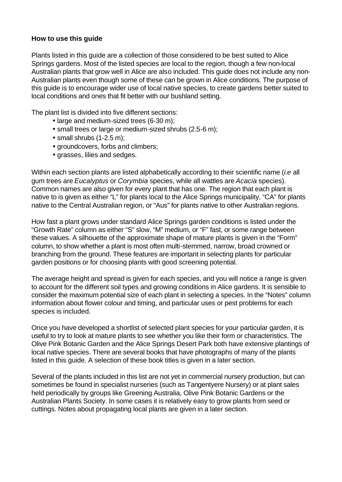### **How to use this guide**

Plants listed in this guide are a collection of those considered to be best suited to Alice Springs gardens. Most of the listed species are local to the region, though a few non-local Australian plants that grow well in Alice are also included. This guide does not include any non-Australian plants even though some of these can be grown in Alice conditions. The purpose of this guide is to encourage wider use of local native species, to create gardens better suited to local conditions and ones that fit better with our bushland setting.

The plant list is divided into five different sections:

- large and medium-sized trees (6-30 m);
- small trees or large or medium-sized shrubs (2.5-6 m);
- $\bullet$  small shrubs (1-2.5 m);
- groundcovers, forbs and climbers;
- grasses, lilies and sedges.

Within each section plants are listed alphabetically according to their scientific name (*i.e* all gum trees are *Eucalyptus* or *Corymbia* species, while all wattles are *Acacia* species). Common names are also given for every plant that has one. The region that each plant is native to is given as either "L" for plants local to the Alice Springs municipality, "CA" for plants native to the Central Australian region, or "Aus" for plants native to other Australian regions.

How fast a plant grows under standard Alice Springs garden conditions is listed under the "Growth Rate" column as either "S" slow, "M" medium, or "F" fast, or some range between these values. A silhouette of the approximate shape of mature plants is given in the "Form" column, to show whether a plant is most often multi-stemmed, narrow, broad crowned or branching from the ground. These features are important in selecting plants for particular garden positions or for choosing plants with good screening potential.

The average height and spread is given for each species, and you will notice a range is given to account for the different soil types and growing conditions in Alice gardens. It is sensible to consider the maximum potential size of each plant in selecting a species. In the "Notes" column information about flower colour and timing, and particular uses or pest problems for each species is included.

Once you have developed a shortlist of selected plant species for your particular garden, it is useful to try to look at mature plants to see whether you like their form or characteristics. The Olive Pink Botanic Garden and the Alice Springs Desert Park both have extensive plantings of local native species. There are several books that have photographs of many of the plants listed in this guide. A selection of these book titles is given in a later section.

Several of the plants included in this list are not yet in commercial nursery production, but can sometimes be found in specialist nurseries (such as Tangentyere Nursery) or at plant sales held periodically by groups like Greening Australia, Olive Pink Botanic Gardens or the Australian Plants Society. In some cases it is relatively easy to grow plants from seed or cuttings. Notes about propagating local plants are given in a later section.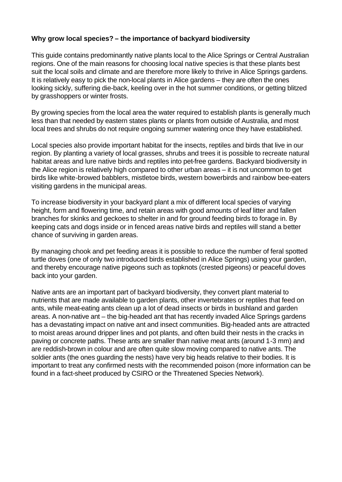# **Why grow local species? – the importance of backyard biodiversity**

This guide contains predominantly native plants local to the Alice Springs or Central Australian regions. One of the main reasons for choosing local native species is that these plants best suit the local soils and climate and are therefore more likely to thrive in Alice Springs gardens. It is relatively easy to pick the non-local plants in Alice gardens – they are often the ones looking sickly, suffering die-back, keeling over in the hot summer conditions, or getting blitzed by grasshoppers or winter frosts.

By growing species from the local area the water required to establish plants is generally much less than that needed by eastern states plants or plants from outside of Australia, and most local trees and shrubs do not require ongoing summer watering once they have established.

Local species also provide important habitat for the insects, reptiles and birds that live in our region. By planting a variety of local grasses, shrubs and trees it is possible to recreate natural habitat areas and lure native birds and reptiles into pet-free gardens. Backyard biodiversity in the Alice region is relatively high compared to other urban areas – it is not uncommon to get birds like white-browed babblers, mistletoe birds, western bowerbirds and rainbow bee-eaters visiting gardens in the municipal areas.

To increase biodiversity in your backyard plant a mix of different local species of varying height, form and flowering time, and retain areas with good amounts of leaf litter and fallen branches for skinks and geckoes to shelter in and for ground feeding birds to forage in. By keeping cats and dogs inside or in fenced areas native birds and reptiles will stand a better chance of surviving in garden areas.

By managing chook and pet feeding areas it is possible to reduce the number of feral spotted turtle doves (one of only two introduced birds established in Alice Springs) using your garden, and thereby encourage native pigeons such as topknots (crested pigeons) or peaceful doves back into your garden.

Native ants are an important part of backyard biodiversity, they convert plant material to nutrients that are made available to garden plants, other invertebrates or reptiles that feed on ants, while meat-eating ants clean up a lot of dead insects or birds in bushland and garden areas. A non-native ant – the big-headed ant that has recently invaded Alice Springs gardens has a devastating impact on native ant and insect communities. Big-headed ants are attracted to moist areas around dripper lines and pot plants, and often build their nests in the cracks in paving or concrete paths. These ants are smaller than native meat ants (around 1-3 mm) and are reddish-brown in colour and are often quite slow moving compared to native ants. The soldier ants (the ones guarding the nests) have very big heads relative to their bodies. It is important to treat any confirmed nests with the recommended poison (more information can be found in a fact-sheet produced by CSIRO or the Threatened Species Network).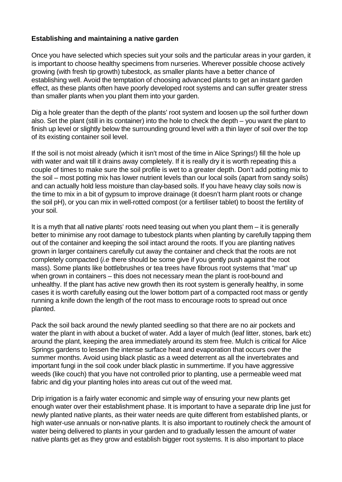# **Establishing and maintaining a native garden**

Once you have selected which species suit your soils and the particular areas in your garden, it is important to choose healthy specimens from nurseries. Wherever possible choose actively growing (with fresh tip growth) tubestock, as smaller plants have a better chance of establishing well. Avoid the temptation of choosing advanced plants to get an instant garden effect, as these plants often have poorly developed root systems and can suffer greater stress than smaller plants when you plant them into your garden.

Dig a hole greater than the depth of the plants' root system and loosen up the soil further down also. Set the plant (still in its container) into the hole to check the depth – you want the plant to finish up level or slightly below the surrounding ground level with a thin layer of soil over the top of its existing container soil level.

If the soil is not moist already (which it isn't most of the time in Alice Springs!) fill the hole up with water and wait till it drains away completely. If it is really dry it is worth repeating this a couple of times to make sure the soil profile is wet to a greater depth. Don't add potting mix to the soil – most potting mix has lower nutrient levels than our local soils (apart from sandy soils) and can actually hold less moisture than clay-based soils. If you have heavy clay soils now is the time to mix in a bit of gypsum to improve drainage (it doesn't harm plant roots or change the soil pH), or you can mix in well-rotted compost (or a fertiliser tablet) to boost the fertility of your soil.

It is a myth that all native plants' roots need teasing out when you plant them – it is generally better to minimise any root damage to tubestock plants when planting by carefully tapping them out of the container and keeping the soil intact around the roots. If you are planting natives grown in larger containers carefully cut away the container and check that the roots are not completely compacted (*i.e* there should be some give if you gently push against the root mass). Some plants like bottlebrushes or tea trees have fibrous root systems that "mat" up when grown in containers – this does not necessary mean the plant is root-bound and unhealthy. If the plant has active new growth then its root system is generally healthy, in some cases it is worth carefully easing out the lower bottom part of a compacted root mass or gently running a knife down the length of the root mass to encourage roots to spread out once planted.

Pack the soil back around the newly planted seedling so that there are no air pockets and water the plant in with about a bucket of water. Add a layer of mulch (leaf litter, stones, bark etc) around the plant, keeping the area immediately around its stem free. Mulch is critical for Alice Springs gardens to lessen the intense surface heat and evaporation that occurs over the summer months. Avoid using black plastic as a weed deterrent as all the invertebrates and important fungi in the soil cook under black plastic in summertime. If you have aggressive weeds (like couch) that you have not controlled prior to planting, use a permeable weed mat fabric and dig your planting holes into areas cut out of the weed mat.

Drip irrigation is a fairly water economic and simple way of ensuring your new plants get enough water over their establishment phase. It is important to have a separate drip line just for newly planted native plants, as their water needs are quite different from established plants, or high water-use annuals or non-native plants. It is also important to routinely check the amount of water being delivered to plants in your garden and to gradually lessen the amount of water native plants get as they grow and establish bigger root systems. It is also important to place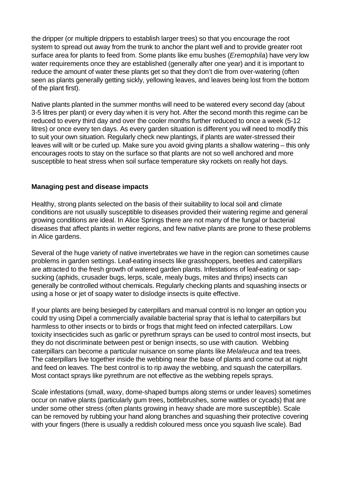the dripper (or multiple drippers to establish larger trees) so that you encourage the root system to spread out away from the trunk to anchor the plant well and to provide greater root surface area for plants to feed from. Some plants like emu bushes (*Eremophila*) have very low water requirements once they are established (generally after one year) and it is important to reduce the amount of water these plants get so that they don't die from over-watering (often seen as plants generally getting sickly, yellowing leaves, and leaves being lost from the bottom of the plant first).

Native plants planted in the summer months will need to be watered every second day (about 3-5 litres per plant) or every day when it is very hot. After the second month this regime can be reduced to every third day and over the cooler months further reduced to once a week (5-12 litres) or once every ten days. As every garden situation is different you will need to modify this to suit your own situation. Regularly check new plantings, if plants are water-stressed their leaves will wilt or be curled up. Make sure you avoid giving plants a shallow watering – this only encourages roots to stay on the surface so that plants are not so well anchored and more susceptible to heat stress when soil surface temperature sky rockets on really hot days.

### **Managing pest and disease impacts**

Healthy, strong plants selected on the basis of their suitability to local soil and climate conditions are not usually susceptible to diseases provided their watering regime and general growing conditions are ideal. In Alice Springs there are not many of the fungal or bacterial diseases that affect plants in wetter regions, and few native plants are prone to these problems in Alice gardens.

Several of the huge variety of native invertebrates we have in the region can sometimes cause problems in garden settings. Leaf-eating insects like grasshoppers, beetles and caterpillars are attracted to the fresh growth of watered garden plants. Infestations of leaf-eating or sapsucking (aphids, crusader bugs, lerps, scale, mealy bugs, mites and thrips) insects can generally be controlled without chemicals. Regularly checking plants and squashing insects or using a hose or jet of soapy water to dislodge insects is quite effective.

If your plants are being besieged by caterpillars and manual control is no longer an option you could try using Dipel a commercially available bacterial spray that is lethal to caterpillars but harmless to other insects or to birds or frogs that might feed on infected caterpillars. Low toxicity insecticides such as garlic or pyrethrum sprays can be used to control most insects, but they do not discriminate between pest or benign insects, so use with caution. Webbing caterpillars can become a particular nuisance on some plants like *Melaleuca* and tea trees. The caterpillars live together inside the webbing near the base of plants and come out at night and feed on leaves. The best control is to rip away the webbing, and squash the caterpillars. Most contact sprays like pyrethrum are not effective as the webbing repels sprays.

Scale infestations (small, waxy, dome-shaped bumps along stems or under leaves) sometimes occur on native plants (particularly gum trees, bottlebrushes, some wattles or cycads) that are under some other stress (often plants growing in heavy shade are more susceptible). Scale can be removed by rubbing your hand along branches and squashing their protective covering with your fingers (there is usually a reddish coloured mess once you squash live scale). Bad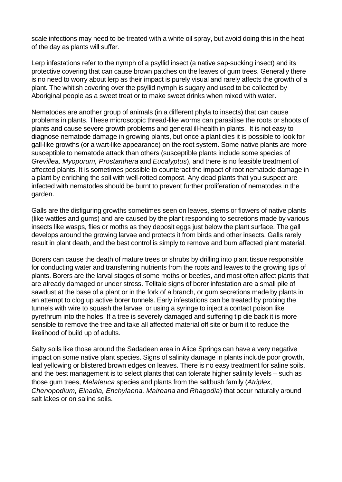scale infections may need to be treated with a white oil spray, but avoid doing this in the heat of the day as plants will suffer.

Lerp infestations refer to the nymph of a psyllid insect (a native sap-sucking insect) and its protective covering that can cause brown patches on the leaves of gum trees. Generally there is no need to worry about lerp as their impact is purely visual and rarely affects the growth of a plant. The whitish covering over the psyllid nymph is sugary and used to be collected by Aboriginal people as a sweet treat or to make sweet drinks when mixed with water.

Nematodes are another group of animals (in a different phyla to insects) that can cause problems in plants. These microscopic thread-like worms can parasitise the roots or shoots of plants and cause severe growth problems and general ill-health in plants. It is not easy to diagnose nematode damage in growing plants, but once a plant dies it is possible to look for gall-like growths (or a wart-like appearance) on the root system. Some native plants are more susceptible to nematode attack than others (susceptible plants include some species of *Grevillea, Myoporum, Prostanthera* and *Eucalyptus*), and there is no feasible treatment of affected plants. It is sometimes possible to counteract the impact of root nematode damage in a plant by enriching the soil with well-rotted compost. Any dead plants that you suspect are infected with nematodes should be burnt to prevent further proliferation of nematodes in the garden.

Galls are the disfiguring growths sometimes seen on leaves, stems or flowers of native plants (like wattles and gums) and are caused by the plant responding to secretions made by various insects like wasps, flies or moths as they deposit eggs just below the plant surface. The gall develops around the growing larvae and protects it from birds and other insects. Galls rarely result in plant death, and the best control is simply to remove and burn affected plant material.

Borers can cause the death of mature trees or shrubs by drilling into plant tissue responsible for conducting water and transferring nutrients from the roots and leaves to the growing tips of plants. Borers are the larval stages of some moths or beetles, and most often affect plants that are already damaged or under stress. Telltale signs of borer infestation are a small pile of sawdust at the base of a plant or in the fork of a branch, or gum secretions made by plants in an attempt to clog up active borer tunnels. Early infestations can be treated by probing the tunnels with wire to squash the larvae, or using a syringe to inject a contact poison like pyrethrum into the holes. If a tree is severely damaged and suffering tip die back it is more sensible to remove the tree and take all affected material off site or burn it to reduce the likelihood of build up of adults.

Salty soils like those around the Sadadeen area in Alice Springs can have a very negative impact on some native plant species. Signs of salinity damage in plants include poor growth, leaf yellowing or blistered brown edges on leaves. There is no easy treatment for saline soils, and the best management is to select plants that can tolerate higher salinity levels – such as those gum trees, *Melaleuca* species and plants from the saltbush family (*Atriplex, Chenopodium, Einadia, Enchylaena, Maireana* and *Rhagodia*) that occur naturally around salt lakes or on saline soils.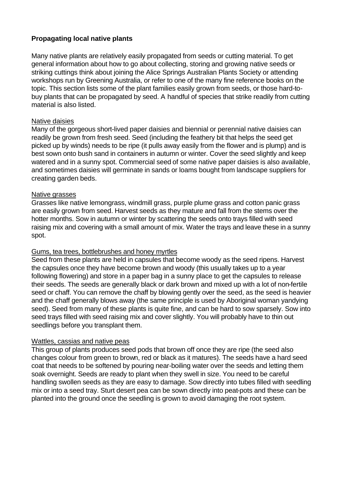# **Propagating local native plants**

Many native plants are relatively easily propagated from seeds or cutting material. To get general information about how to go about collecting, storing and growing native seeds or striking cuttings think about joining the Alice Springs Australian Plants Society or attending workshops run by Greening Australia, or refer to one of the many fine reference books on the topic. This section lists some of the plant families easily grown from seeds, or those hard-tobuy plants that can be propagated by seed. A handful of species that strike readily from cutting material is also listed.

### Native daisies

Many of the gorgeous short-lived paper daisies and biennial or perennial native daisies can readily be grown from fresh seed. Seed (including the feathery bit that helps the seed get picked up by winds) needs to be ripe (it pulls away easily from the flower and is plump) and is best sown onto bush sand in containers in autumn or winter. Cover the seed slightly and keep watered and in a sunny spot. Commercial seed of some native paper daisies is also available, and sometimes daisies will germinate in sands or loams bought from landscape suppliers for creating garden beds.

#### Native grasses

Grasses like native lemongrass, windmill grass, purple plume grass and cotton panic grass are easily grown from seed. Harvest seeds as they mature and fall from the stems over the hotter months. Sow in autumn or winter by scattering the seeds onto trays filled with seed raising mix and covering with a small amount of mix. Water the trays and leave these in a sunny spot.

#### Gums, tea trees, bottlebrushes and honey myrtles

Seed from these plants are held in capsules that become woody as the seed ripens. Harvest the capsules once they have become brown and woody (this usually takes up to a year following flowering) and store in a paper bag in a sunny place to get the capsules to release their seeds. The seeds are generally black or dark brown and mixed up with a lot of non-fertile seed or chaff. You can remove the chaff by blowing gently over the seed, as the seed is heavier and the chaff generally blows away (the same principle is used by Aboriginal woman yandying seed). Seed from many of these plants is quite fine, and can be hard to sow sparsely. Sow into seed trays filled with seed raising mix and cover slightly. You will probably have to thin out seedlings before you transplant them.

#### Wattles, cassias and native peas

This group of plants produces seed pods that brown off once they are ripe (the seed also changes colour from green to brown, red or black as it matures). The seeds have a hard seed coat that needs to be softened by pouring near-boiling water over the seeds and letting them soak overnight. Seeds are ready to plant when they swell in size. You need to be careful handling swollen seeds as they are easy to damage. Sow directly into tubes filled with seedling mix or into a seed tray. Sturt desert pea can be sown directly into peat-pots and these can be planted into the ground once the seedling is grown to avoid damaging the root system.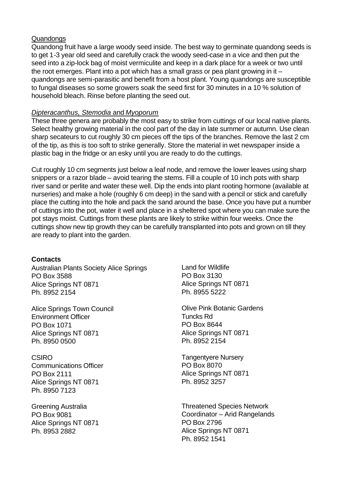### Quandongs

Quandong fruit have a large woody seed inside. The best way to germinate quandong seeds is to get 1-3 year old seed and carefully crack the woody seed-case in a vice and then put the seed into a zip-lock bag of moist vermiculite and keep in a dark place for a week or two until the root emerges. Plant into a pot which has a small grass or pea plant growing in it – quandongs are semi-parasitic and benefit from a host plant. Young quandongs are susceptible to fungal diseases so some growers soak the seed first for 30 minutes in a 10 % solution of household bleach. Rinse before planting the seed out.

### *Dipteracanthus, Stemodia* and *Myoporum*

These three genera are probably the most easy to strike from cuttings of our local native plants. Select healthy growing material in the cool part of the day in late summer or autumn. Use clean sharp secateurs to cut roughly 30 cm pieces off the tips of the branches. Remove the last 2 cm of the tip, as this is too soft to strike generally. Store the material in wet newspaper inside a plastic bag in the fridge or an esky until you are ready to do the cuttings.

Cut roughly 10 cm segments just below a leaf node, and remove the lower leaves using sharp snippers or a razor blade – avoid tearing the stems. Fill a couple of 10 inch pots with sharp river sand or perlite and water these well. Dip the ends into plant rooting hormone (available at nurseries) and make a hole (roughly 6 cm deep) in the sand with a pencil or stick and carefully place the cutting into the hole and pack the sand around the base. Once you have put a number of cuttings into the pot, water it well and place in a sheltered spot where you can make sure the pot stays moist. Cuttings from these plants are likely to strike within four weeks. Once the cuttings show new tip growth they can be carefully transplanted into pots and grown on till they are ready to plant into the garden.

# **Contacts**

Australian Plants Society Alice Springs PO Box 3588 Alice Springs NT 0871 Ph. 8952 2154

Alice Springs Town Council Environment Officer PO Box 1071 Alice Springs NT 0871 Ph. 8950 0500

**CSIRO** Communications Officer PO Box 2111 Alice Springs NT 0871 Ph. 8950 7123

Greening Australia PO Box 9081 Alice Springs NT 0871 Ph. 8953 2882

Land for Wildlife PO Box 3130 Alice Springs NT 0871 Ph. 8955 5222

Olive Pink Botanic Gardens Tuncks Rd PO Box 8644 Alice Springs NT 0871 Ph. 8952 2154

Tangentyere Nursery PO Box 8070 Alice Springs NT 0871 Ph. 8952 3257

Threatened Species Network Coordinator – Arid Rangelands PO Box 2796 Alice Springs NT 0871 Ph. 8952 1541